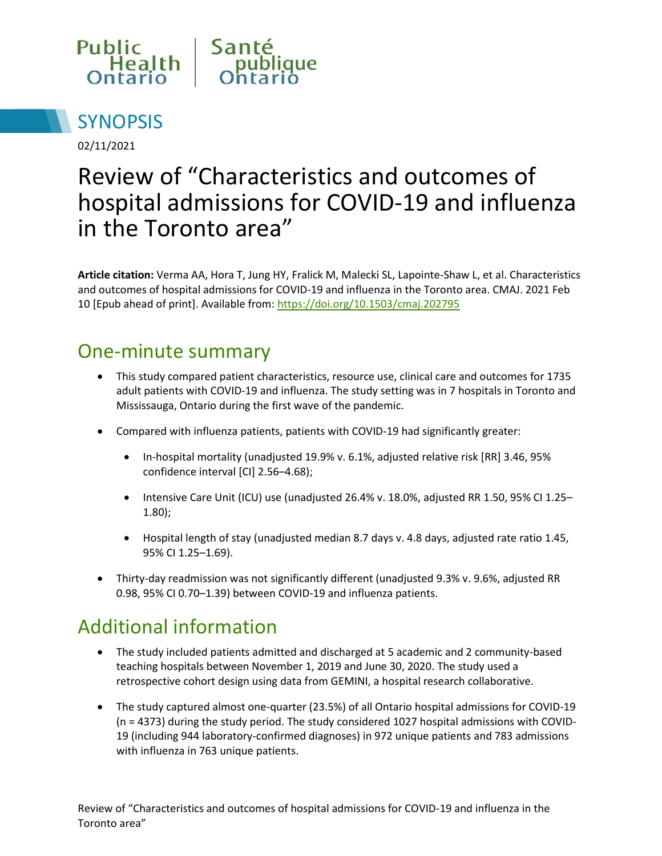



02/11/2021

# Review of "Characteristics and outcomes of hospital admissions for COVID-19 and influenza in the Toronto area"

**Article citation:** Verma AA, Hora T, Jung HY, Fralick M, Malecki SL, Lapointe-Shaw L, et al. Characteristics and outcomes of hospital admissions for COVID-19 and influenza in the Toronto area. CMAJ. 2021 Feb 10 [Epub ahead of print]. Available from: <https://doi.org/10.1503/cmaj.202795>

#### One-minute summary

- This study compared patient characteristics, resource use, clinical care and outcomes for 1735 adult patients with COVID-19 and influenza. The study setting was in 7 hospitals in Toronto and Mississauga, Ontario during the first wave of the pandemic.
- Compared with influenza patients, patients with COVID-19 had significantly greater:
	- In-hospital mortality (unadjusted 19.9% v. 6.1%, adjusted relative risk [RR] 3.46, 95% confidence interval [CI] 2.56–4.68);
	- Intensive Care Unit (ICU) use (unadjusted 26.4% v. 18.0%, adjusted RR 1.50, 95% CI 1.25– 1.80);
	- Hospital length of stay (unadjusted median 8.7 days v. 4.8 days, adjusted rate ratio 1.45, 95% CI 1.25–1.69).
- Thirty-day readmission was not significantly different (unadjusted 9.3% v. 9.6%, adjusted RR 0.98, 95% CI 0.70–1.39) between COVID-19 and influenza patients.

## Additional information

- The study included patients admitted and discharged at 5 academic and 2 community-based teaching hospitals between November 1, 2019 and June 30, 2020. The study used a retrospective cohort design using data from GEMINI, a hospital research collaborative.
- The study captured almost one-quarter (23.5%) of all Ontario hospital admissions for COVID-19 (n = 4373) during the study period. The study considered 1027 hospital admissions with COVID-19 (including 944 laboratory-confirmed diagnoses) in 972 unique patients and 783 admissions with influenza in 763 unique patients.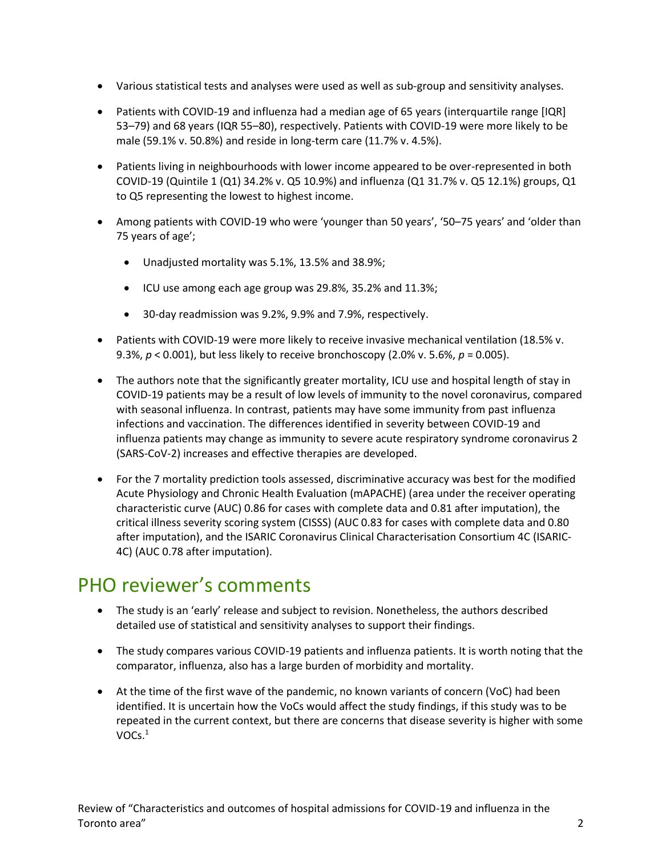- Various statistical tests and analyses were used as well as sub-group and sensitivity analyses.
- Patients with COVID-19 and influenza had a median age of 65 years (interquartile range [IQR] 53–79) and 68 years (IQR 55–80), respectively. Patients with COVID-19 were more likely to be male (59.1% v. 50.8%) and reside in long-term care (11.7% v. 4.5%).
- Patients living in neighbourhoods with lower income appeared to be over-represented in both COVID-19 (Quintile 1 (Q1) 34.2% v. Q5 10.9%) and influenza (Q1 31.7% v. Q5 12.1%) groups, Q1 to Q5 representing the lowest to highest income.
- Among patients with COVID-19 who were 'younger than 50 years', '50–75 years' and 'older than 75 years of age';
	- Unadjusted mortality was 5.1%, 13.5% and 38.9%;
	- ICU use among each age group was 29.8%, 35.2% and 11.3%;
	- 30-day readmission was 9.2%, 9.9% and 7.9%, respectively.
- Patients with COVID-19 were more likely to receive invasive mechanical ventilation (18.5% v. 9.3%, *p* < 0.001), but less likely to receive bronchoscopy (2.0% v. 5.6%, *p* = 0.005).
- The authors note that the significantly greater mortality, ICU use and hospital length of stay in COVID-19 patients may be a result of low levels of immunity to the novel coronavirus, compared with seasonal influenza. In contrast, patients may have some immunity from past influenza infections and vaccination. The differences identified in severity between COVID-19 and influenza patients may change as immunity to severe acute respiratory syndrome coronavirus 2 (SARS-CoV-2) increases and effective therapies are developed.
- For the 7 mortality prediction tools assessed, discriminative accuracy was best for the modified Acute Physiology and Chronic Health Evaluation (mAPACHE) (area under the receiver operating characteristic curve (AUC) 0.86 for cases with complete data and 0.81 after imputation), the critical illness severity scoring system (CISSS) (AUC 0.83 for cases with complete data and 0.80 after imputation), and the ISARIC Coronavirus Clinical Characterisation Consortium 4C (ISARIC-4C) (AUC 0.78 after imputation).

### PHO reviewer's comments

- The study is an 'early' release and subject to revision. Nonetheless, the authors described detailed use of statistical and sensitivity analyses to support their findings.
- The study compares various COVID-19 patients and influenza patients. It is worth noting that the comparator, influenza, also has a large burden of morbidity and mortality.
- At the time of the first wave of the pandemic, no known variants of concern (VoC) had been identified. It is uncertain how the VoCs would affect the study findings, if this study was to be repeated in the current context, but there are concerns that disease severity is higher with some  $VOCs.<sup>1</sup>$